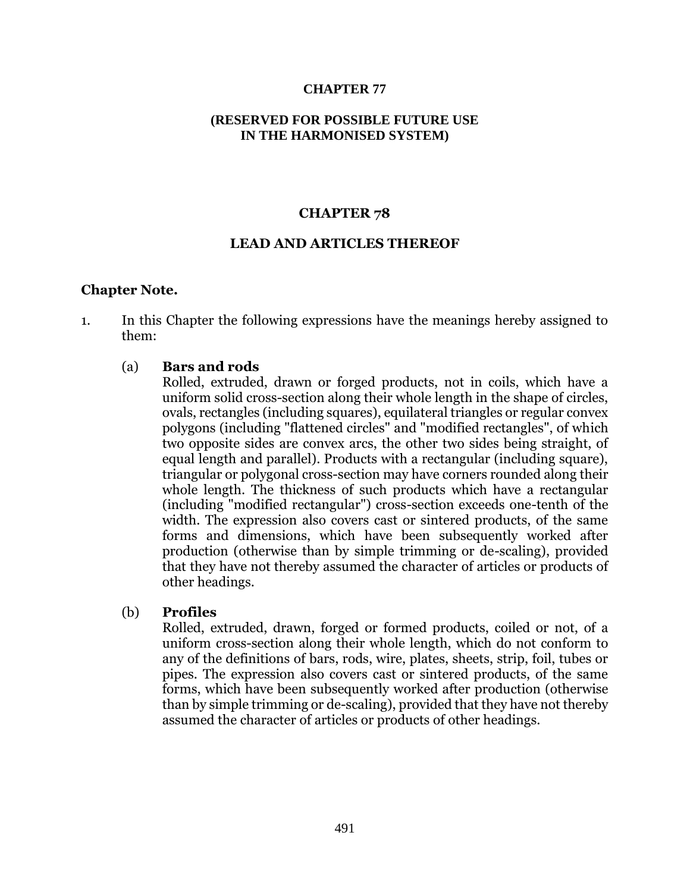### **CHAPTER 77**

### **(RESERVED FOR POSSIBLE FUTURE USE IN THE HARMONISED SYSTEM)**

## **CHAPTER 78**

#### **LEAD AND ARTICLES THEREOF**

#### **Chapter Note.**

1. In this Chapter the following expressions have the meanings hereby assigned to them:

## (a) **Bars and rods**

Rolled, extruded, drawn or forged products, not in coils, which have a uniform solid cross-section along their whole length in the shape of circles, ovals, rectangles (including squares), equilateral triangles or regular convex polygons (including "flattened circles" and "modified rectangles", of which two opposite sides are convex arcs, the other two sides being straight, of equal length and parallel). Products with a rectangular (including square), triangular or polygonal cross-section may have corners rounded along their whole length. The thickness of such products which have a rectangular (including "modified rectangular") cross-section exceeds one-tenth of the width. The expression also covers cast or sintered products, of the same forms and dimensions, which have been subsequently worked after production (otherwise than by simple trimming or de-scaling), provided that they have not thereby assumed the character of articles or products of other headings.

## (b) **Profiles**

Rolled, extruded, drawn, forged or formed products, coiled or not, of a uniform cross-section along their whole length, which do not conform to any of the definitions of bars, rods, wire, plates, sheets, strip, foil, tubes or pipes. The expression also covers cast or sintered products, of the same forms, which have been subsequently worked after production (otherwise than by simple trimming or de-scaling), provided that they have not thereby assumed the character of articles or products of other headings.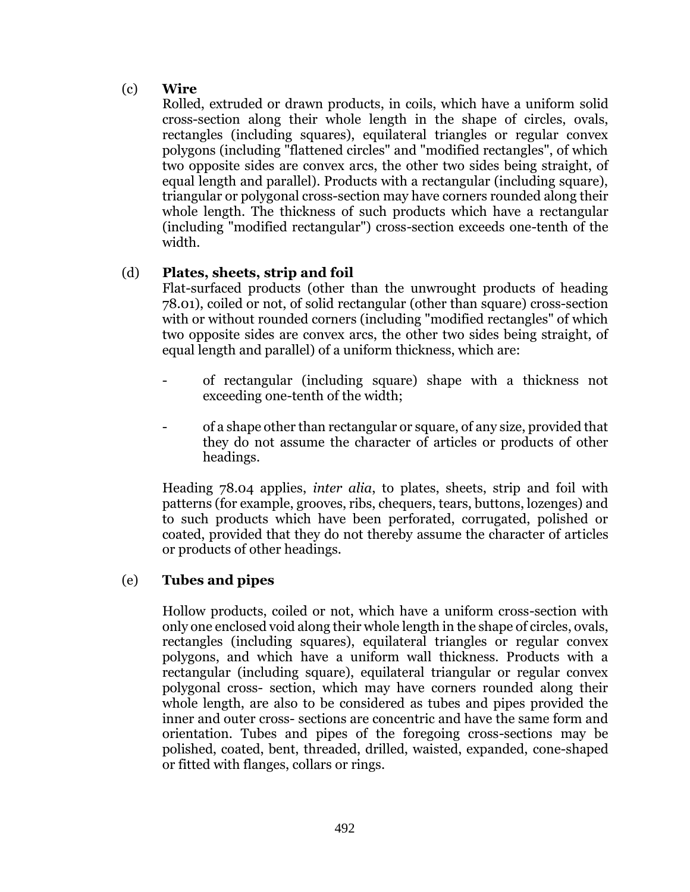# (c) **Wire**

Rolled, extruded or drawn products, in coils, which have a uniform solid cross-section along their whole length in the shape of circles, ovals, rectangles (including squares), equilateral triangles or regular convex polygons (including "flattened circles" and "modified rectangles", of which two opposite sides are convex arcs, the other two sides being straight, of equal length and parallel). Products with a rectangular (including square), triangular or polygonal cross-section may have corners rounded along their whole length. The thickness of such products which have a rectangular (including "modified rectangular") cross-section exceeds one-tenth of the width.

# (d) **Plates, sheets, strip and foil**

Flat-surfaced products (other than the unwrought products of heading 78.01), coiled or not, of solid rectangular (other than square) cross-section with or without rounded corners (including "modified rectangles" of which two opposite sides are convex arcs, the other two sides being straight, of equal length and parallel) of a uniform thickness, which are:

- of rectangular (including square) shape with a thickness not exceeding one-tenth of the width;
- of a shape other than rectangular or square, of any size, provided that they do not assume the character of articles or products of other headings.

Heading 78.04 applies, *inter alia*, to plates, sheets, strip and foil with patterns (for example, grooves, ribs, chequers, tears, buttons, lozenges) and to such products which have been perforated, corrugated, polished or coated, provided that they do not thereby assume the character of articles or products of other headings.

# (e) **Tubes and pipes**

Hollow products, coiled or not, which have a uniform cross-section with only one enclosed void along their whole length in the shape of circles, ovals, rectangles (including squares), equilateral triangles or regular convex polygons, and which have a uniform wall thickness. Products with a rectangular (including square), equilateral triangular or regular convex polygonal cross- section, which may have corners rounded along their whole length, are also to be considered as tubes and pipes provided the inner and outer cross- sections are concentric and have the same form and orientation. Tubes and pipes of the foregoing cross-sections may be polished, coated, bent, threaded, drilled, waisted, expanded, cone-shaped or fitted with flanges, collars or rings.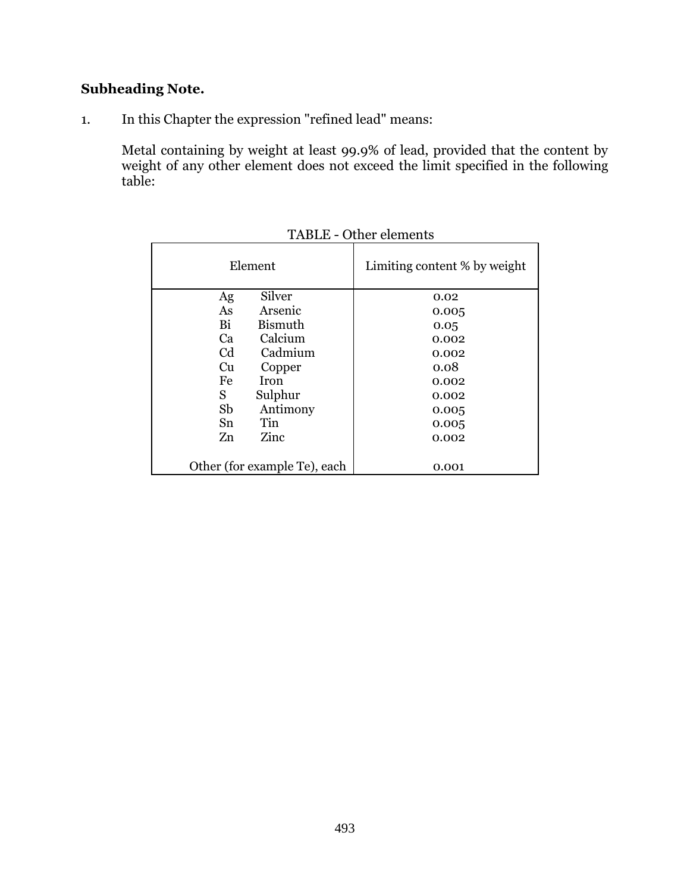# **Subheading Note.**

1. In this Chapter the expression "refined lead" means:

Metal containing by weight at least 99.9% of lead, provided that the content by weight of any other element does not exceed the limit specified in the following table:

| Element                      | Limiting content % by weight |  |  |
|------------------------------|------------------------------|--|--|
| Silver<br>Ag                 | 0.02                         |  |  |
| As<br>Arsenic                | 0.005                        |  |  |
| Bi<br>Bismuth                | 0.05                         |  |  |
| Calcium<br>Ca                | 0.002                        |  |  |
| C <sub>d</sub><br>Cadmium    | 0.002                        |  |  |
| Cu<br>Copper                 | 0.08                         |  |  |
| <b>Iron</b><br>Fe            | 0.002                        |  |  |
| Sulphur<br>S.                | 0.002                        |  |  |
| Sb<br>Antimony               | 0.005                        |  |  |
| Tin<br>Sn                    | 0.005                        |  |  |
| Zinc<br>Zn                   | 0.002                        |  |  |
|                              |                              |  |  |
| Other (for example Te), each | 0.001                        |  |  |

TABLE - Other elements